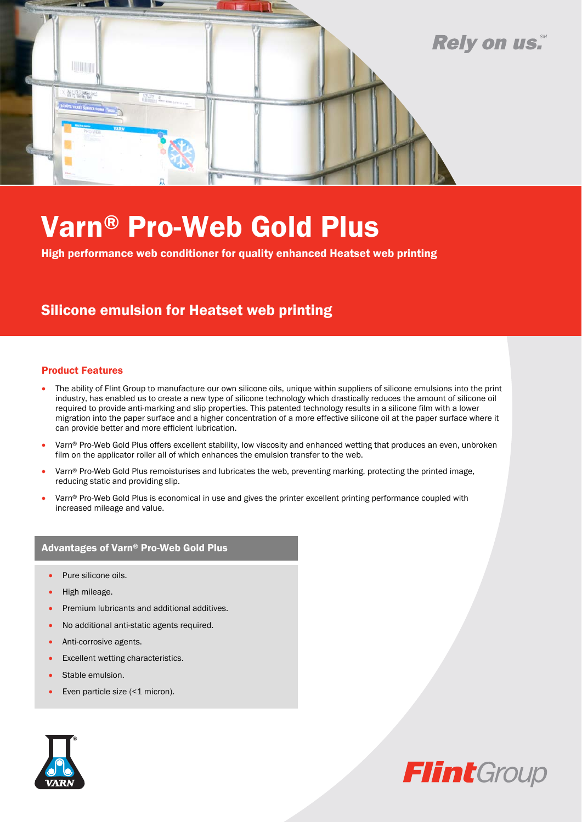

# Varn® Pro-Web Gold Plus

High performance web conditioner for quality enhanced Heatset web printing

### Silicone emulsion for Heatset web printing

#### Product Features

- The ability of Flint Group to manufacture our own silicone oils, unique within suppliers of silicone emulsions into the print industry, has enabled us to create a new type of silicone technology which drastically reduces the amount of silicone oil required to provide anti-marking and slip properties. This patented technology results in a silicone film with a lower migration into the paper surface and a higher concentration of a more effective silicone oil at the paper surface where it can provide better and more efficient lubrication.
- Varn® Pro-Web Gold Plus offers excellent stability, low viscosity and enhanced wetting that produces an even, unbroken film on the applicator roller all of which enhances the emulsion transfer to the web.
- Varn® Pro-Web Gold Plus remoisturises and lubricates the web, preventing marking, protecting the printed image, reducing static and providing slip.
- Varn® Pro-Web Gold Plus is economical in use and gives the printer excellent printing performance coupled with increased mileage and value.

#### Advantages of Varn® Pro-Web Gold Plus

- Pure silicone oils.
- High mileage.
- Premium lubricants and additional additives.
- No additional anti-static agents required.
- Anti-corrosive agents.
- Excellent wetting characteristics.
- Stable emulsion.
- Even particle size (<1 micron).